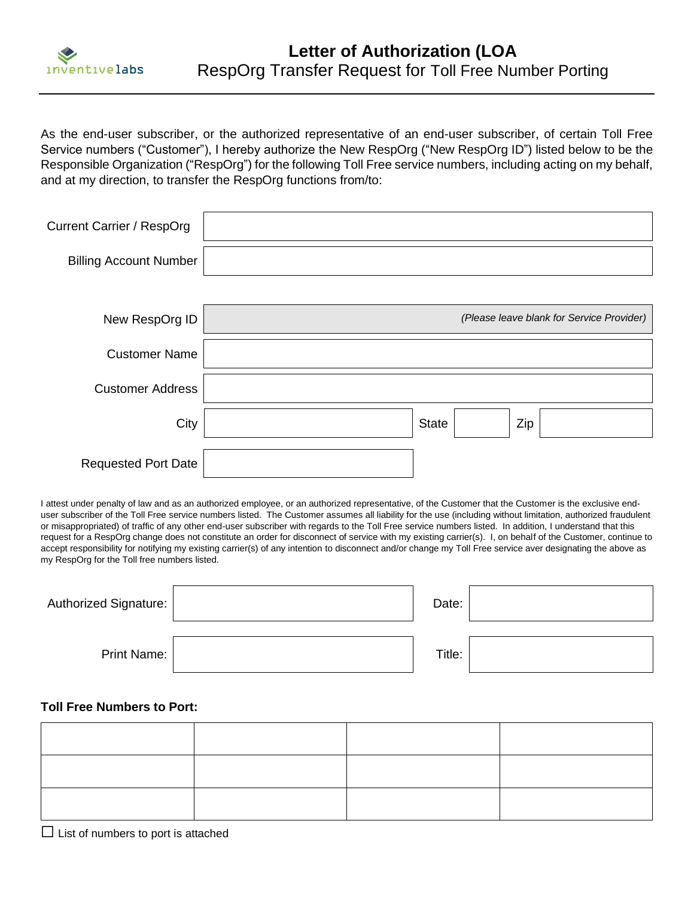

As the end-user subscriber, or the authorized representative of an end-user subscriber, of certain Toll Free Service numbers ("Customer"), I hereby authorize the New RespOrg ("New RespOrg ID") listed below to be the Responsible Organization ("RespOrg") for the following Toll Free service numbers, including acting on my behalf, and at my direction, to transfer the RespOrg functions from/to:

| <b>Current Carrier / RespOrg</b> |                                           |
|----------------------------------|-------------------------------------------|
| <b>Billing Account Number</b>    |                                           |
|                                  |                                           |
| New RespOrg ID                   | (Please leave blank for Service Provider) |
| <b>Customer Name</b>             |                                           |
| <b>Customer Address</b>          |                                           |
| City                             | Zip<br><b>State</b>                       |
| <b>Requested Port Date</b>       |                                           |

I attest under penalty of law and as an authorized employee, or an authorized representative, of the Customer that the Customer is the exclusive enduser subscriber of the Toll Free service numbers listed. The Customer assumes all liability for the use (including without limitation, authorized fraudulent or misappropriated) of traffic of any other end-user subscriber with regards to the Toll Free service numbers listed. In addition, I understand that this request for a RespOrg change does not constitute an order for disconnect of service with my existing carrier(s). I, on behalf of the Customer, continue to accept responsibility for notifying my existing carrier(s) of any intention to disconnect and/or change my Toll Free service aver designating the above as my RespOrg for the Toll free numbers listed.

| Authorized Signature: | Date:  |  |
|-----------------------|--------|--|
| Print Name:           | Title: |  |

#### **Toll Free Numbers to Port:**

 $\Box$  List of numbers to port is attached